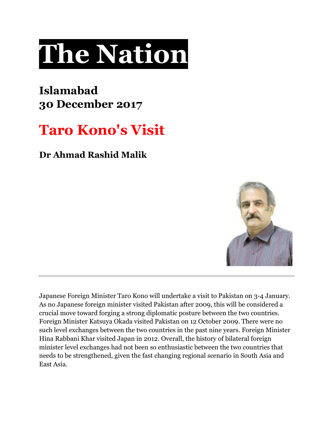## **The Nation**

## **Islamabad 30 December 2017**

## **Taro Kono's Visit**

**Dr Ahmad Rashid Malik**



Japanese Foreign Minister Taro Kono will undertake a visit to Pakistan on 3-4 January. As no Japanese foreign minister visited Pakistan after 2009, this will be considered a crucial move toward forging a strong diplomatic posture between the two countries. Foreign Minister Katsuya Okada visited Pakistan on 12 October 2009. There were no such level exchanges between the two countries in the past nine years. Foreign Minister Hina Rabbani Khar visited Japan in 2012. Overall, the history of bilateral foreign minister level exchanges had not been so enthusiastic between the two countries that needs to be strengthened, given the fast changing regional scenario in South Asia and East Asia.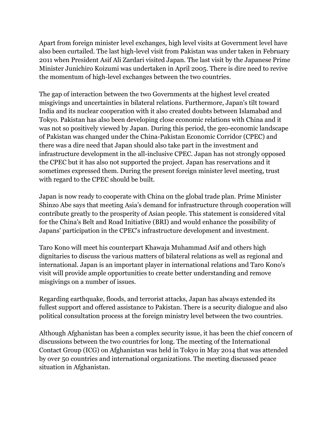Apart from foreign minister level exchanges, high level visits at Government level have also been curtailed. The last high-level visit from Pakistan was under taken in February 2011 when President Asif Ali Zardari visited Japan. The last visit by the Japanese Prime Minister Junichiro Koizumi was undertaken in April 2005. There is dire need to revive the momentum of high-level exchanges between the two countries.

The gap of interaction between the two Governments at the highest level created misgivings and uncertainties in bilateral relations. Furthermore, Japan's tilt toward India and its nuclear cooperation with it also created doubts between Islamabad and Tokyo. Pakistan has also been developing close economic relations with China and it was not so positively viewed by Japan. During this period, the geo-economic landscape of Pakistan was changed under the China-Pakistan Economic Corridor (CPEC) and there was a dire need that Japan should also take part in the investment and infrastructure development in the all-inclusive CPEC. Japan has not strongly opposed the CPEC but it has also not supported the project. Japan has reservations and it sometimes expressed them. During the present foreign minister level meeting, trust with regard to the CPEC should be built.

Japan is now ready to cooperate with China on the global trade plan. Prime Minister Shinzo Abe says that meeting Asia's demand for infrastructure through cooperation will contribute greatly to the prosperity of Asian people. This statement is considered vital for the China's Belt and Road Initiative (BRI) and would enhance the possibility of Japans' participation in the CPEC's infrastructure development and investment.

Taro Kono will meet his counterpart Khawaja Muhammad Asif and others high dignitaries to discuss the various matters of bilateral relations as well as regional and international. Japan is an important player in international relations and Taro Kono's visit will provide ample opportunities to create better understanding and remove misgivings on a number of issues.

Regarding earthquake, floods, and terrorist attacks, Japan has always extended its fullest support and offered assistance to Pakistan. There is a security dialogue and also political consultation process at the foreign ministry level between the two countries.

Although Afghanistan has been a complex security issue, it has been the chief concern of discussions between the two countries for long. The meeting of the International Contact Group (ICG) on Afghanistan was held in Tokyo in May 2014 that was attended by over 50 countries and international organizations. The meeting discussed peace situation in Afghanistan.